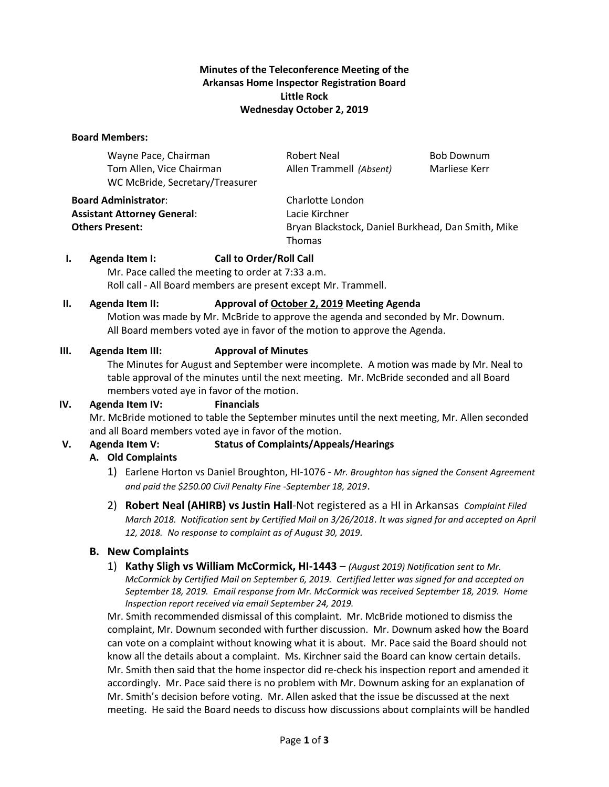## **Minutes of the Teleconference Meeting of the Arkansas Home Inspector Registration Board Little Rock Wednesday October 2, 2019**

### **Board Members:**

| Wayne Pace, Chairman            | Robert Neal             | Bob Downum    |
|---------------------------------|-------------------------|---------------|
| Tom Allen, Vice Chairman        | Allen Trammell (Absent) | Marliese Kerr |
| WC McBride, Secretary/Treasurer |                         |               |
| <b>Board Administrator:</b>     | Charlotte London        |               |

**Assistant Attorney General**: Lacie Kirchner

**Others Present:** Bryan Blackstock, Daniel Burkhead, Dan Smith, Mike Thomas

### **I. Agenda Item I: Call to Order/Roll Call**

Mr. Pace called the meeting to order at 7:33 a.m. Roll call - All Board members are present except Mr. Trammell.

### **II. Agenda Item II: Approval of October 2, 2019 Meeting Agenda**

Motion was made by Mr. McBride to approve the agenda and seconded by Mr. Downum. All Board members voted aye in favor of the motion to approve the Agenda.

### **III. Agenda Item III: Approval of Minutes**

The Minutes for August and September were incomplete. A motion was made by Mr. Neal to table approval of the minutes until the next meeting. Mr. McBride seconded and all Board members voted aye in favor of the motion.

## **IV. Agenda Item IV: Financials**

Mr. McBride motioned to table the September minutes until the next meeting, Mr. Allen seconded and all Board members voted aye in favor of the motion.

## **V. Agenda Item V: Status of Complaints/Appeals/Hearings**

## **A. Old Complaints**

- 1) Earlene Horton vs Daniel Broughton, HI-1076 *Mr. Broughton has signed the Consent Agreement and paid the \$250.00 Civil Penalty Fine -September 18, 2019*.
- 2) **Robert Neal (AHIRB) vs Justin Hall**-Not registered as a HI in Arkansas *Complaint Filed March 2018. Notification sent by Certified Mail on 3/26/2018*. *It was signed for and accepted on April 12, 2018. No response to complaint as of August 30, 2019.*

## **B. New Complaints**

1) **Kathy Sligh vs William McCormick, HI-1443** – *(August 2019) Notification sent to Mr. McCormick by Certified Mail on September 6, 2019. Certified letter was signed for and accepted on September 18, 2019. Email response from Mr. McCormick was received September 18, 2019. Home Inspection report received via email September 24, 2019.*

Mr. Smith recommended dismissal of this complaint. Mr. McBride motioned to dismiss the complaint, Mr. Downum seconded with further discussion. Mr. Downum asked how the Board can vote on a complaint without knowing what it is about. Mr. Pace said the Board should not know all the details about a complaint. Ms. Kirchner said the Board can know certain details. Mr. Smith then said that the home inspector did re-check his inspection report and amended it accordingly. Mr. Pace said there is no problem with Mr. Downum asking for an explanation of Mr. Smith's decision before voting. Mr. Allen asked that the issue be discussed at the next meeting. He said the Board needs to discuss how discussions about complaints will be handled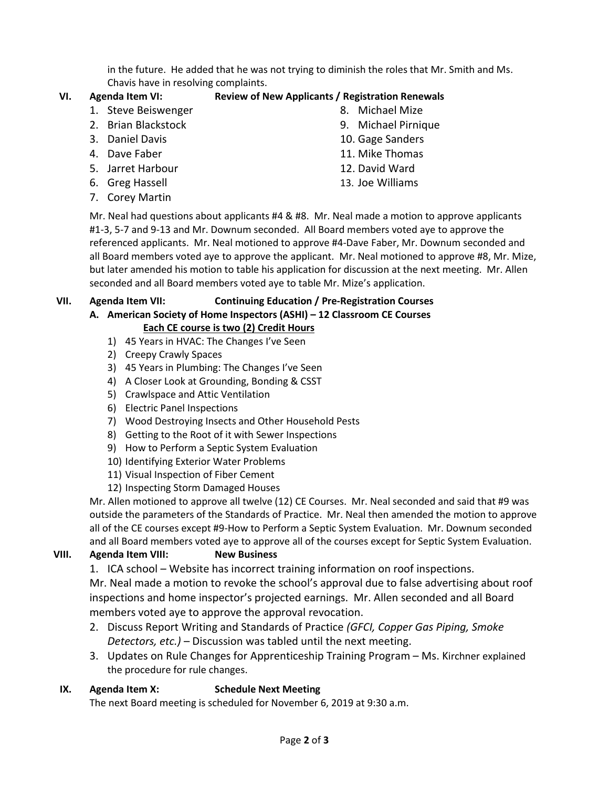in the future. He added that he was not trying to diminish the roles that Mr. Smith and Ms. Chavis have in resolving complaints.

# **VI. Agenda Item VI: Review of New Applicants / Registration Renewals**

- 1. Steve Beiswenger
- 2. Brian Blackstock 3. Daniel Davis
- 
- 4. Dave Faber
- 5. Jarret Harbour
- 6. Greg Hassell
- 7. Corey Martin
- 8. Michael Mize
- 9. Michael Pirnique
- 10. Gage Sanders
- 11. Mike Thomas
- 12. David Ward
- 13. Joe Williams

Mr. Neal had questions about applicants #4 & #8. Mr. Neal made a motion to approve applicants #1-3, 5-7 and 9-13 and Mr. Downum seconded. All Board members voted aye to approve the referenced applicants. Mr. Neal motioned to approve #4-Dave Faber, Mr. Downum seconded and all Board members voted aye to approve the applicant. Mr. Neal motioned to approve #8, Mr. Mize, but later amended his motion to table his application for discussion at the next meeting. Mr. Allen seconded and all Board members voted aye to table Mr. Mize's application.

### **VII. Agenda Item VII: Continuing Education / Pre-Registration Courses**

# **A. American Society of Home Inspectors (ASHI) – 12 Classroom CE Courses**

# **Each CE course is two (2) Credit Hours**

- 1) 45 Years in HVAC: The Changes I've Seen
- 2) Creepy Crawly Spaces
- 3) 45 Years in Plumbing: The Changes I've Seen
- 4) A Closer Look at Grounding, Bonding & CSST
- 5) Crawlspace and Attic Ventilation
- 6) Electric Panel Inspections
- 7) Wood Destroying Insects and Other Household Pests
- 8) Getting to the Root of it with Sewer Inspections
- 9) How to Perform a Septic System Evaluation
- 10) Identifying Exterior Water Problems
- 11) Visual Inspection of Fiber Cement
- 12) Inspecting Storm Damaged Houses

Mr. Allen motioned to approve all twelve (12) CE Courses. Mr. Neal seconded and said that #9 was outside the parameters of the Standards of Practice. Mr. Neal then amended the motion to approve all of the CE courses except #9-How to Perform a Septic System Evaluation. Mr. Downum seconded and all Board members voted aye to approve all of the courses except for Septic System Evaluation.

# **VIII. Agenda Item VIII: New Business**

1. ICA school – Website has incorrect training information on roof inspections.

Mr. Neal made a motion to revoke the school's approval due to false advertising about roof inspections and home inspector's projected earnings. Mr. Allen seconded and all Board members voted aye to approve the approval revocation.

- 2. Discuss Report Writing and Standards of Practice *(GFCI, Copper Gas Piping, Smoke Detectors, etc.)* – Discussion was tabled until the next meeting.
- 3. Updates on Rule Changes for Apprenticeship Training Program Ms. Kirchner explained the procedure for rule changes.

# **IX. Agenda Item X: Schedule Next Meeting**

The next Board meeting is scheduled for November 6, 2019 at 9:30 a.m.